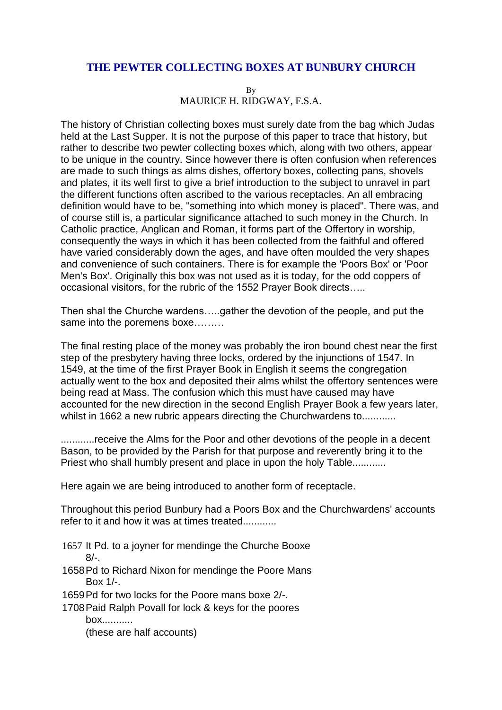## **THE PEWTER COLLECTING BOXES AT BUNBURY CHURCH**

By MAURICE H. RIDGWAY, F.S.A.

The history of Christian collecting boxes must surely date from the bag which Judas held at the Last Supper. It is not the purpose of this paper to trace that history, but rather to describe two pewter collecting boxes which, along with two others, appear to be unique in the country. Since however there is often confusion when references are made to such things as alms dishes, offertory boxes, collecting pans, shovels and plates, it its well first to give a brief introduction to the subject to unravel in part the different functions often ascribed to the various receptacles. An all embracing definition would have to be, "something into which money is placed". There was, and of course still is, a particular significance attached to such money in the Church. In Catholic practice, Anglican and Roman, it forms part of the Offertory in worship, consequently the ways in which it has been collected from the faithful and offered have varied considerably down the ages, and have often moulded the very shapes and convenience of such containers. There is for example the 'Poors Box' or 'Poor Men's Box'. Originally this box was not used as it is today, for the odd coppers of occasional visitors, for the rubric of the 1552 Prayer Book directs…..

Then shal the Churche wardens…..gather the devotion of the people, and put the same into the poremens boxe………

The final resting place of the money was probably the iron bound chest near the first step of the presbytery having three locks, ordered by the injunctions of 1547. In 1549, at the time of the first Prayer Book in English it seems the congregation actually went to the box and deposited their alms whilst the offertory sentences were being read at Mass. The confusion which this must have caused may have accounted for the new direction in the second English Prayer Book a few years later, whilst in 1662 a new rubric appears directing the Churchwardens to............

............receive the Alms for the Poor and other devotions of the people in a decent Bason, to be provided by the Parish for that purpose and reverently bring it to the Priest who shall humbly present and place in upon the holy Table............

Here again we are being introduced to another form of receptacle.

Throughout this period Bunbury had a Poors Box and the Churchwardens' accounts refer to it and how it was at times treated............

- 1657 It Pd. to a joyner for mendinge the Churche Booxe  $8/-$ .
- 1658Pd to Richard Nixon for mendinge the Poore Mans Box 1/-.
- 1659Pd for two locks for the Poore mans boxe 2/-.
- 1708Paid Ralph Povall for lock & keys for the poores box...........

(these are half accounts)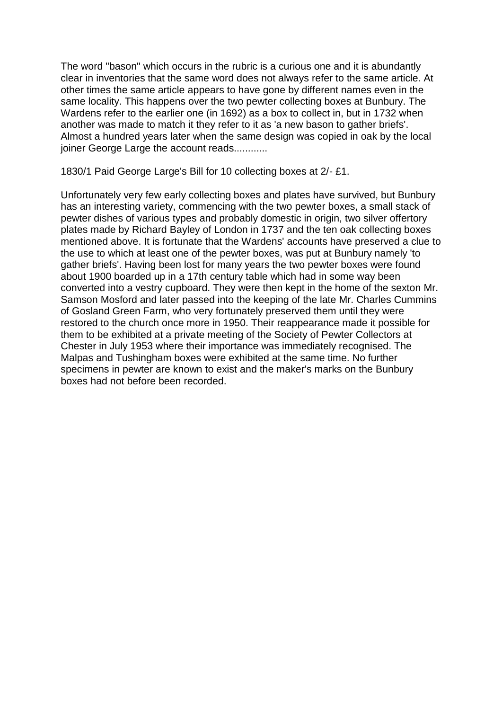The word "bason" which occurs in the rubric is a curious one and it is abundantly clear in inventories that the same word does not always refer to the same article. At other times the same article appears to have gone by different names even in the same locality. This happens over the two pewter collecting boxes at Bunbury. The Wardens refer to the earlier one (in 1692) as a box to collect in, but in 1732 when another was made to match it they refer to it as 'a new bason to gather briefs'. Almost a hundred years later when the same design was copied in oak by the local joiner George Large the account reads............

1830/1 Paid George Large's Bill for 10 collecting boxes at 2/- £1.

Unfortunately very few early collecting boxes and plates have survived, but Bunbury has an interesting variety, commencing with the two pewter boxes, a small stack of pewter dishes of various types and probably domestic in origin, two silver offertory plates made by Richard Bayley of London in 1737 and the ten oak collecting boxes mentioned above. It is fortunate that the Wardens' accounts have preserved a clue to the use to which at least one of the pewter boxes, was put at Bunbury namely 'to gather briefs'. Having been lost for many years the two pewter boxes were found about 1900 boarded up in a 17th century table which had in some way been converted into a vestry cupboard. They were then kept in the home of the sexton Mr. Samson Mosford and later passed into the keeping of the late Mr. Charles Cummins of Gosland Green Farm, who very fortunately preserved them until they were restored to the church once more in 1950. Their reappearance made it possible for them to be exhibited at a private meeting of the Society of Pewter Collectors at Chester in July 1953 where their importance was immediately recognised. The Malpas and Tushingham boxes were exhibited at the same time. No further specimens in pewter are known to exist and the maker's marks on the Bunbury boxes had not before been recorded.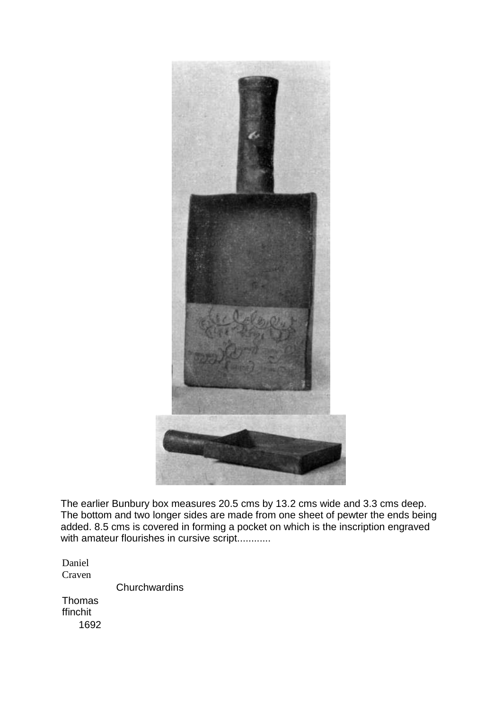

The earlier Bunbury box measures 20.5 cms by 13.2 cms wide and 3.3 cms deep. The bottom and two longer sides are made from one sheet of pewter the ends being added. 8.5 cms is covered in forming a pocket on which is the inscription engraved with amateur flourishes in cursive script............

Daniel Craven

**Churchwardins** 

**Thomas** ffinchit 1692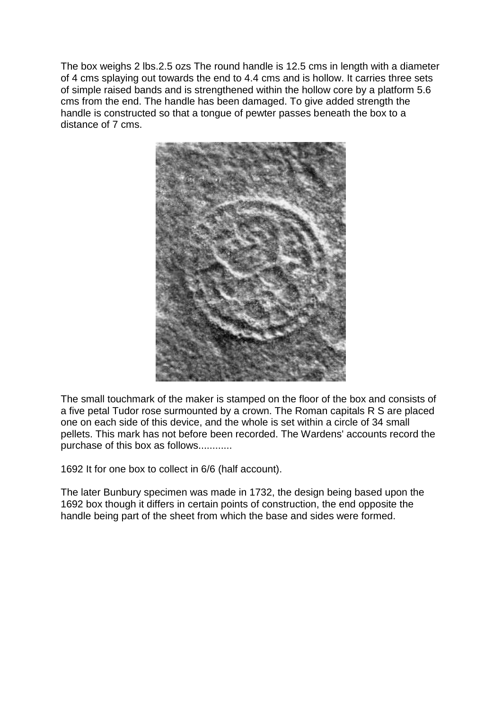The box weighs 2 lbs.2.5 ozs The round handle is 12.5 cms in length with a diameter of 4 cms splaying out towards the end to 4.4 cms and is hollow. It carries three sets of simple raised bands and is strengthened within the hollow core by a platform 5.6 cms from the end. The handle has been damaged. To give added strength the handle is constructed so that a tongue of pewter passes beneath the box to a distance of 7 cms.



The small touchmark of the maker is stamped on the floor of the box and consists of a five petal Tudor rose surmounted by a crown. The Roman capitals R S are placed one on each side of this device, and the whole is set within a circle of 34 small pellets. This mark has not before been recorded. The Wardens' accounts record the purchase of this box as follows............

1692 It for one box to collect in 6/6 (half account).

The later Bunbury specimen was made in 1732, the design being based upon the 1692 box though it differs in certain points of construction, the end opposite the handle being part of the sheet from which the base and sides were formed.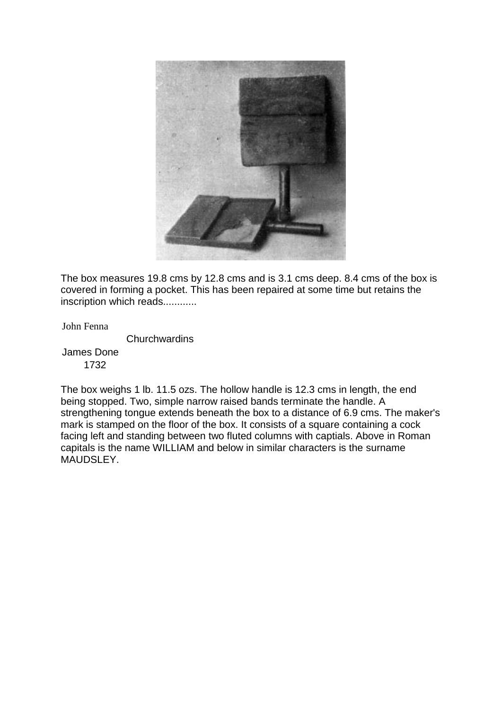

The box measures 19.8 cms by 12.8 cms and is 3.1 cms deep. 8.4 cms of the box is covered in forming a pocket. This has been repaired at some time but retains the inscription which reads............

John Fenna

**Churchwardins** 

James Done 1732

The box weighs 1 lb. 11.5 ozs. The hollow handle is 12.3 cms in length, the end being stopped. Two, simple narrow raised bands terminate the handle. A strengthening tongue extends beneath the box to a distance of 6.9 cms. The maker's mark is stamped on the floor of the box. It consists of a square containing a cock facing left and standing between two fluted columns with captials. Above in Roman capitals is the name WILLIAM and below in similar characters is the surname MAUDSLEY.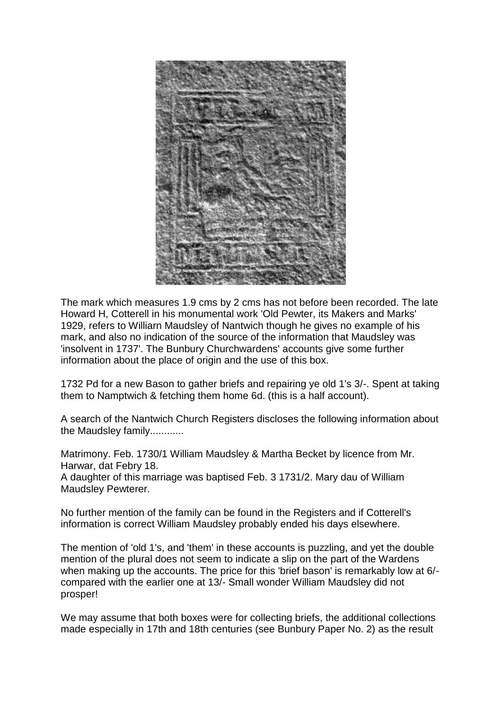

The mark which measures 1.9 cms by 2 cms has not before been recorded. The late Howard H, Cotterell in his monumental work 'Old Pewter, its Makers and Marks' 1929, refers to Williarn Maudsley of Nantwich though he gives no example of his mark, and also no indication of the source of the information that Maudsley was 'insolvent in 1737'. The Bunbury Churchwardens' accounts give some further information about the place of origin and the use of this box.

1732 Pd for a new Bason to gather briefs and repairing ye old 1's 3/-. Spent at taking them to Namptwich & fetching them home 6d. (this is a half account).

A search of the Nantwich Church Registers discloses the following information about the Maudsley family............

Matrimony. Feb. 1730/1 William Maudsley & Martha Becket by licence from Mr. Harwar, dat Febry 18.

A daughter of this marriage was baptised Feb. 3 1731/2. Mary dau of William Maudsley Pewterer.

No further mention of the family can be found in the Registers and if Cotterell's information is correct William Maudsley probably ended his days elsewhere.

The mention of 'old 1's, and 'them' in these accounts is puzzling, and yet the double mention of the plural does not seem to indicate a slip on the part of the Wardens when making up the accounts. The price for this 'brief bason' is remarkably low at 6/compared with the earlier one at 13/- Small wonder William Maudsley did not prosper!

We may assume that both boxes were for collecting briefs, the additional collections made especially in 17th and 18th centuries (see Bunbury Paper No. 2) as the result